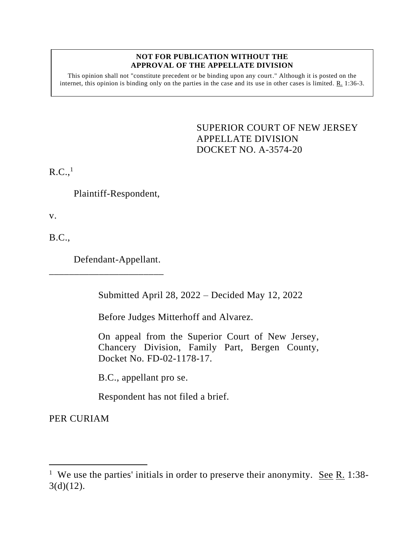#### **NOT FOR PUBLICATION WITHOUT THE APPROVAL OF THE APPELLATE DIVISION**

This opinion shall not "constitute precedent or be binding upon any court." Although it is posted on the internet, this opinion is binding only on the parties in the case and its use in other cases is limited. R. 1:36-3.

> <span id="page-0-0"></span>SUPERIOR COURT OF NEW JERSEY APPELLATE DIVISION DOCKET NO. A-3574-20

 $R.C.,<sup>1</sup>$ 

Plaintiff-Respondent,

v.

B.C.,

Defendant-Appellant.

\_\_\_\_\_\_\_\_\_\_\_\_\_\_\_\_\_\_\_\_\_\_\_

Submitted April 28, 2022 – Decided May 12, 2022

Before Judges Mitterhoff and Alvarez.

On appeal from the Superior Court of New Jersey, Chancery Division, Family Part, Bergen County, Docket No. FD-02-1178-17.

B.C., appellant pro se.

Respondent has not filed a brief.

PER CURIAM

<sup>&</sup>lt;sup>1</sup> We use the parties' initials in order to preserve their anonymity. <u>See R.</u> 1:38- $3(d)(12)$ .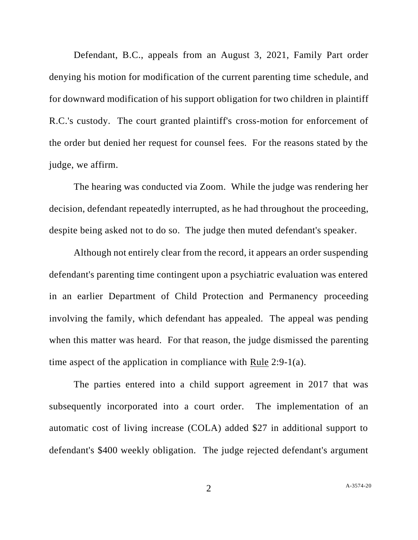Defendant, B.C., appeals from an August 3, 2021, Family Part order denying his motion for modification of the current parenting time schedule, and for downward modification of his support obligation for two children in plaintiff R.C.'s custody. The court granted plaintiff's cross-motion for enforcement of the order but denied her request for counsel fees. For the reasons stated by the judge, we affirm.

The hearing was conducted via Zoom. While the judge was rendering her decision, defendant repeatedly interrupted, as he had throughout the proceeding, despite being asked not to do so. The judge then muted defendant's speaker.

Although not entirely clear from the record, it appears an order suspending defendant's parenting time contingent upon a psychiatric evaluation was entered in an earlier Department of Child Protection and Permanency proceeding involving the family, which defendant has appealed. The appeal was pending when this matter was heard. For that reason, the judge dismissed the parenting time aspect of the application in compliance with Rule 2:9-1(a).

The parties entered into a child support agreement in 2017 that was subsequently incorporated into a court order. The implementation of an automatic cost of living increase (COLA) added \$27 in additional support to defendant's \$400 weekly obligation. The judge rejected defendant's argument

2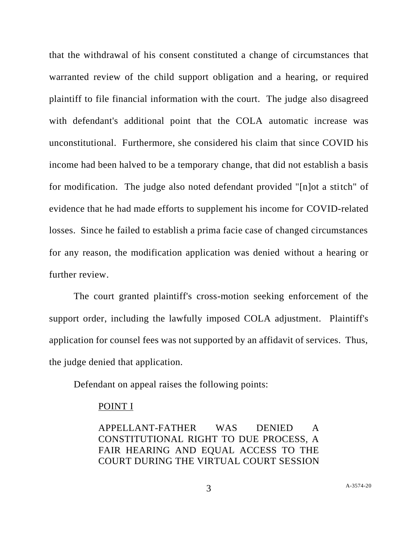that the withdrawal of his consent constituted a change of circumstances that warranted review of the child support obligation and a hearing, or required plaintiff to file financial information with the court. The judge also disagreed with defendant's additional point that the COLA automatic increase was unconstitutional. Furthermore, she considered his claim that since COVID his income had been halved to be a temporary change, that did not establish a basis for modification. The judge also noted defendant provided "[n]ot a stitch" of evidence that he had made efforts to supplement his income for COVID-related losses. Since he failed to establish a prima facie case of changed circumstances for any reason, the modification application was denied without a hearing or further review.

The court granted plaintiff's cross-motion seeking enforcement of the support order, including the lawfully imposed COLA adjustment. Plaintiff's application for counsel fees was not supported by an affidavit of services. Thus, the judge denied that application.

Defendant on appeal raises the following points:

## POINT I

APPELLANT-FATHER WAS DENIED A CONSTITUTIONAL RIGHT TO DUE PROCESS, A FAIR HEARING AND EQUAL ACCESS TO THE COURT DURING THE VIRTUAL COURT SESSION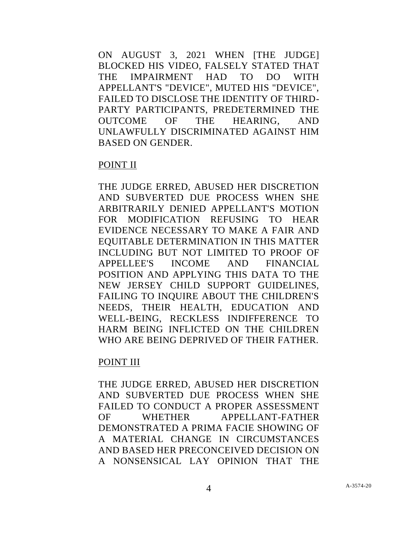ON AUGUST 3, 2021 WHEN [THE JUDGE] BLOCKED HIS VIDEO, FALSELY STATED THAT THE IMPAIRMENT HAD TO DO WITH APPELLANT'S "DEVICE", MUTED HIS "DEVICE", FAILED TO DISCLOSE THE IDENTITY OF THIRD-PARTY PARTICIPANTS, PREDETERMINED THE OUTCOME OF THE HEARING, AND UNLAWFULLY DISCRIMINATED AGAINST HIM BASED ON GENDER.

## POINT II

THE JUDGE ERRED, ABUSED HER DISCRETION AND SUBVERTED DUE PROCESS WHEN SHE ARBITRARILY DENIED APPELLANT'S MOTION FOR MODIFICATION REFUSING TO HEAR EVIDENCE NECESSARY TO MAKE A FAIR AND EQUITABLE DETERMINATION IN THIS MATTER INCLUDING BUT NOT LIMITED TO PROOF OF APPELLEE'S INCOME AND FINANCIAL POSITION AND APPLYING THIS DATA TO THE NEW JERSEY CHILD SUPPORT GUIDELINES, FAILING TO INQUIRE ABOUT THE CHILDREN'S NEEDS, THEIR HEALTH, EDUCATION AND WELL-BEING, RECKLESS INDIFFERENCE TO HARM BEING INFLICTED ON THE CHILDREN WHO ARE BEING DEPRIVED OF THEIR FATHER.

#### POINT III

THE JUDGE ERRED, ABUSED HER DISCRETION AND SUBVERTED DUE PROCESS WHEN SHE FAILED TO CONDUCT A PROPER ASSESSMENT OF WHETHER APPELLANT-FATHER DEMONSTRATED A PRIMA FACIE SHOWING OF A MATERIAL CHANGE IN CIRCUMSTANCES AND BASED HER PRECONCEIVED DECISION ON A NONSENSICAL LAY OPINION THAT THE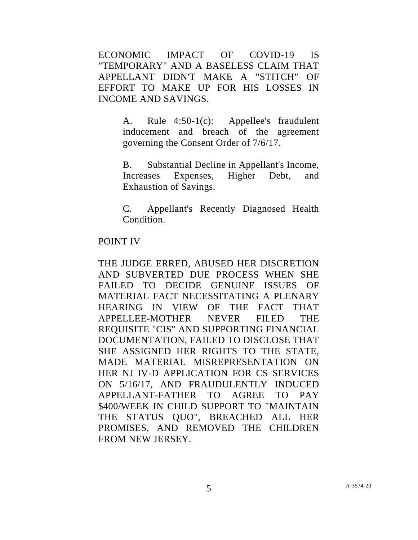ECONOMIC IMPACT OF COVID-19 IS "TEMPORARY" AND A BASELESS CLAIM THAT APPELLANT DIDN'T MAKE A "STITCH" OF EFFORT TO MAKE UP FOR HIS LOSSES IN INCOME AND SAVINGS.

> A. Rule 4:50-1(c): Appellee's fraudulent inducement and breach of the agreement governing the Consent Order of 7/6/17.

> B. Substantial Decline in Appellant's Income, Increases Expenses, Higher Debt, and Exhaustion of Savings.

> C. Appellant's Recently Diagnosed Health Condition.

## POINT IV

THE JUDGE ERRED, ABUSED HER DISCRETION AND SUBVERTED DUE PROCESS WHEN SHE FAILED TO DECIDE GENUINE ISSUES OF MATERIAL FACT NECESSITATING A PLENARY HEARING IN VIEW OF THE FACT THAT APPELLEE-MOTHER NEVER FILED THE REQUISITE "CIS" AND SUPPORTING FINANCIAL DOCUMENTATION, FAILED TO DISCLOSE THAT SHE ASSIGNED HER RIGHTS TO THE STATE, MADE MATERIAL MISREPRESENTATION ON HER NJ IV-D APPLICATION FOR CS SERVICES ON 5/16/17, AND FRAUDULENTLY INDUCED APPELLANT-FATHER TO AGREE TO PAY \$400/WEEK IN CHILD SUPPORT TO "MAINTAIN THE STATUS QUO", BREACHED ALL HER PROMISES, AND REMOVED THE CHILDREN FROM NEW JERSEY.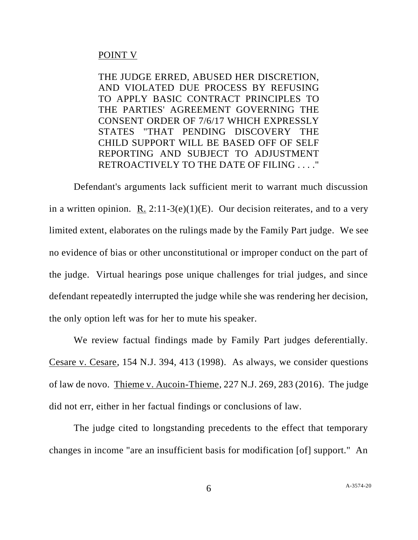# POINT V

THE JUDGE ERRED, ABUSED HER DISCRETION, AND VIOLATED DUE PROCESS BY REFUSING TO APPLY BASIC CONTRACT PRINCIPLES TO THE PARTIES' AGREEMENT GOVERNING THE CONSENT ORDER OF 7/6/17 WHICH EXPRESSLY STATES "THAT PENDING DISCOVERY THE CHILD SUPPORT WILL BE BASED OFF OF SELF REPORTING AND SUBJECT TO ADJUSTMENT RETROACTIVELY TO THE DATE OF FILING . . . ."

Defendant's arguments lack sufficient merit to warrant much discussion in a written opinion. R.  $2:11-3(e)(1)(E)$ . Our decision reiterates, and to a very limited extent, elaborates on the rulings made by the Family Part judge. We see no evidence of bias or other unconstitutional or improper conduct on the part of the judge. Virtual hearings pose unique challenges for trial judges, and since defendant repeatedly interrupted the judge while she was rendering her decision, the only option left was for her to mute his speaker.

We review factual findings made by Family Part judges deferentially. Cesare v. Cesare, 154 N.J. 394, 413 (1998). As always, we consider questions of law de novo. Thieme v. Aucoin-Thieme, 227 N.J. 269, 283 (2016). The judge did not err, either in her factual findings or conclusions of law.

The judge cited to longstanding precedents to the effect that temporary changes in income "are an insufficient basis for modification [of] support." An